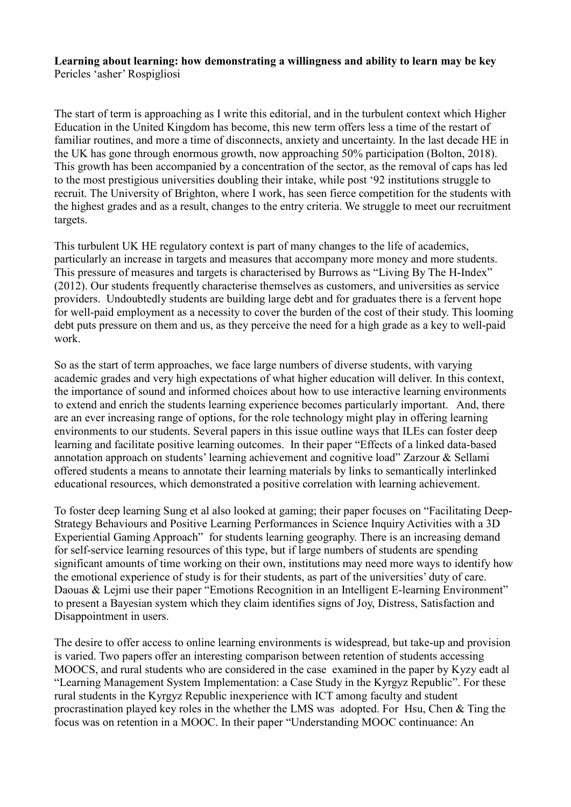**Learning about learning: how demonstrating a willingness and ability to learn may be key** Pericles 'asher' Rospigliosi

The start of term is approaching as I write this editorial, and in the turbulent context which Higher Education in the United Kingdom has become, this new term offers less a time of the restart of familiar routines, and more a time of disconnects, anxiety and uncertainty. In the last decade HE in the UK has gone through enormous growth, now approaching 50% participation (Bolton, 2018). This growth has been accompanied by a concentration of the sector, as the removal of caps has led to the most prestigious universities doubling their intake, while post '92 institutions struggle to recruit. The University of Brighton, where I work, has seen fierce competition for the students with the highest grades and as a result, changes to the entry criteria. We struggle to meet our recruitment targets.

This turbulent UK HE regulatory context is part of many changes to the life of academics, particularly an increase in targets and measures that accompany more money and more students. This pressure of measures and targets is characterised by Burrows as "Living By The H-Index" (2012). Our students frequently characterise themselves as customers, and universities as service providers. Undoubtedly students are building large debt and for graduates there is a fervent hope for well-paid employment as a necessity to cover the burden of the cost of their study. This looming debt puts pressure on them and us, as they perceive the need for a high grade as a key to well-paid work.

So as the start of term approaches, we face large numbers of diverse students, with varying academic grades and very high expectations of what higher education will deliver. In this context, the importance of sound and informed choices about how to use interactive learning environments to extend and enrich the students learning experience becomes particularly important. And, there are an ever increasing range of options, for the role technology might play in offering learning environments to our students. Several papers in this issue outline ways that ILEs can foster deep learning and facilitate positive learning outcomes. In their paper "Effects of a linked data-based annotation approach on students' learning achievement and cognitive load" Zarzour & Sellami offered students a means to annotate their learning materials by links to semantically interlinked educational resources, which demonstrated a positive correlation with learning achievement.

To foster deep learning Sung et al also looked at gaming; their paper focuses on "Facilitating Deep-Strategy Behaviours and Positive Learning Performances in Science Inquiry Activities with a 3D Experiential Gaming Approach" for students learning geography. There is an increasing demand for self-service learning resources of this type, but if large numbers of students are spending significant amounts of time working on their own, institutions may need more ways to identify how the emotional experience of study is for their students, as part of the universities' duty of care. Daouas & Lejmi use their paper "Emotions Recognition in an Intelligent E-learning Environment" to present a Bayesian system which they claim identifies signs of Joy, Distress, Satisfaction and Disappointment in users.

The desire to offer access to online learning environments is widespread, but take-up and provision is varied. Two papers offer an interesting comparison between retention of students accessing MOOCS, and rural students who are considered in the case examined in the paper by Kyzy eadt al "Learning Management System Implementation: a Case Study in the Kyrgyz Republic". For these rural students in the Kyrgyz Republic inexperience with ICT among faculty and student procrastination played key roles in the whether the LMS was adopted. For Hsu, Chen & Ting the focus was on retention in a MOOC. In their paper "Understanding MOOC continuance: An